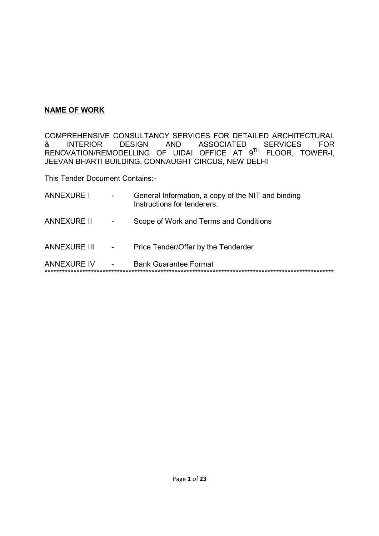### **NAME OF WORK**

COMPREHENSIVE CONSULTANCY SERVICES FOR DETAILED ARCHITECTURAL<br>& INTERIOR DESIGN AND ASSOCIATED SERVICES FOR & INTERIOR DESIGN AND ASSOCIATED SERVICES FOR RENOVATION/REMODELLING OF UIDAI OFFICE AT 9<sup>th</sup> FLOOR, TOWER-I, JEEVAN BHARTI BUILDING, CONNAUGHT CIRCUS, NEW DELHI

This Tender Document Contains:-

| <b>ANNEXURE I</b>   | $\overline{\phantom{a}}$ | General Information, a copy of the NIT and binding<br>Instructions for tenderers. |
|---------------------|--------------------------|-----------------------------------------------------------------------------------|
| <b>ANNEXURE II</b>  | $\overline{\phantom{a}}$ | Scope of Work and Terms and Conditions                                            |
| <b>ANNEXURE III</b> | $\overline{\phantom{a}}$ | Price Tender/Offer by the Tenderder                                               |
| <b>ANNEXURE IV</b>  |                          | <b>Bank Guarantee Format</b>                                                      |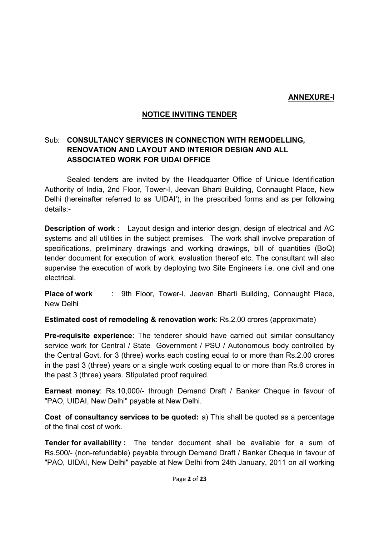### **ANNEXURE-I**

## **NOTICE INVITING TENDER**

## Sub: **CONSULTANCY SERVICES IN CONNECTION WITH REMODELLING, RENOVATION AND LAYOUT AND INTERIOR DESIGN AND ALL ASSOCIATED WORK FOR UIDAI OFFICE**

 Sealed tenders are invited by the Headquarter Office of Unique Identification Authority of India, 2nd Floor, Tower-I, Jeevan Bharti Building, Connaught Place, New Delhi (hereinafter referred to as 'UIDAI'), in the prescribed forms and as per following details:-

**Description of work**: Layout design and interior design, design of electrical and AC systems and all utilities in the subject premises. The work shall involve preparation of specifications, preliminary drawings and working drawings, bill of quantities (BoQ) tender document for execution of work, evaluation thereof etc. The consultant will also supervise the execution of work by deploying two Site Engineers i.e. one civil and one electrical.

**Place of work : 9th Floor, Tower-I, Jeevan Bharti Building, Connaught Place,** New Delhi

**Estimated cost of remodeling & renovation work**: Rs.2.00 crores (approximate)

**Pre-requisite experience**: The tenderer should have carried out similar consultancy service work for Central / State Government / PSU / Autonomous body controlled by the Central Govt. for 3 (three) works each costing equal to or more than Rs.2.00 crores in the past 3 (three) years or a single work costing equal to or more than Rs.6 crores in the past 3 (three) years. Stipulated proof required.

**Earnest money**: Rs.10,000/- through Demand Draft / Banker Cheque in favour of "PAO, UIDAI, New Delhi" payable at New Delhi.

**Cost of consultancy services to be quoted:** a) This shall be quoted as a percentage of the final cost of work.

**Tender for availability :** The tender document shall be available for a sum of Rs.500/- (non-refundable) payable through Demand Draft / Banker Cheque in favour of "PAO, UIDAI, New Delhi" payable at New Delhi from 24th January, 2011 on all working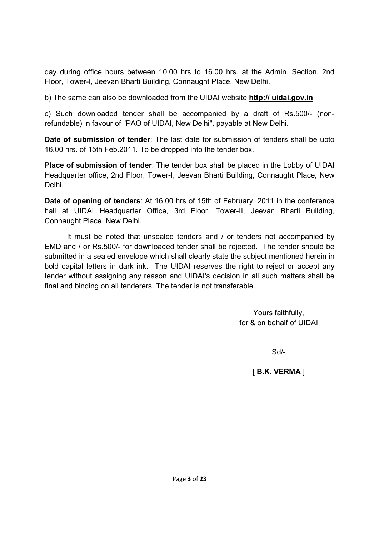day during office hours between 10.00 hrs to 16.00 hrs. at the Admin. Section, 2nd Floor, Tower-I, Jeevan Bharti Building, Connaught Place, New Delhi.

b) The same can also be downloaded from the UIDAI website **http:// uidai.gov.in**

c) Such downloaded tender shall be accompanied by a draft of Rs.500/- (nonrefundable) in favour of "PAO of UIDAI, New Delhi", payable at New Delhi.

**Date of submission of tender**: The last date for submission of tenders shall be upto 16.00 hrs. of 15th Feb.2011. To be dropped into the tender box.

**Place of submission of tender**: The tender box shall be placed in the Lobby of UIDAI Headquarter office, 2nd Floor, Tower-I, Jeevan Bharti Building, Connaught Place, New Delhi.

**Date of opening of tenders**: At 16.00 hrs of 15th of February, 2011 in the conference hall at UIDAI Headquarter Office, 3rd Floor, Tower-II, Jeevan Bharti Building, Connaught Place, New Delhi.

 It must be noted that unsealed tenders and / or tenders not accompanied by EMD and / or Rs.500/- for downloaded tender shall be rejected. The tender should be submitted in a sealed envelope which shall clearly state the subject mentioned herein in bold capital letters in dark ink. The UIDAI reserves the right to reject or accept any tender without assigning any reason and UIDAI's decision in all such matters shall be final and binding on all tenderers. The tender is not transferable.

> Yours faithfully, for & on behalf of UIDAI

> > Sd/-

## [ **B.K. VERMA** ]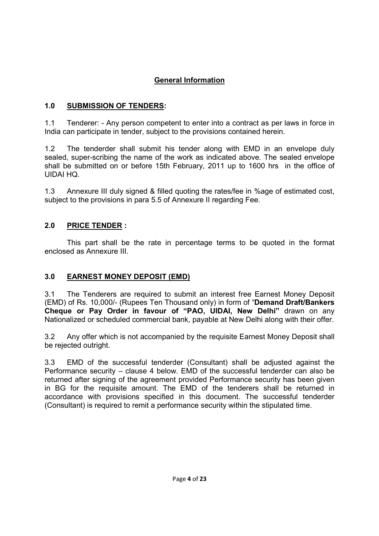# **General Information**

## **1.0 SUBMISSION OF TENDERS:**

1.1 Tenderer: - Any person competent to enter into a contract as per laws in force in India can participate in tender, subject to the provisions contained herein.

1.2 The tenderder shall submit his tender along with EMD in an envelope duly sealed, super-scribing the name of the work as indicated above. The sealed envelope shall be submitted on or before 15th February, 2011 up to 1600 hrs in the office of UIDAI HQ.

1.3 Annexure III duly signed & filled quoting the rates/fee in %age of estimated cost, subject to the provisions in para 5.5 of Annexure II regarding Fee.

## **2.0 PRICE TENDER :**

This part shall be the rate in percentage terms to be quoted in the format enclosed as Annexure III.

## **3.0 EARNEST MONEY DEPOSIT (EMD)**

3.1 The Tenderers are required to submit an interest free Earnest Money Deposit (EMD) of Rs. 10,000/- (Rupees Ten Thousand only) in form of "**Demand Draft/Bankers Cheque or Pay Order in favour of "PAO, UIDAI, New Delhi"** drawn on any Nationalized or scheduled commercial bank, payable at New Delhi along with their offer.

3.2 Any offer which is not accompanied by the requisite Earnest Money Deposit shall be rejected outright.

3.3 EMD of the successful tenderder (Consultant) shall be adjusted against the Performance security – clause 4 below. EMD of the successful tenderder can also be returned after signing of the agreement provided Performance security has been given in BG for the requisite amount. The EMD of the tenderers shall be returned in accordance with provisions specified in this document. The successful tenderder (Consultant) is required to remit a performance security within the stipulated time.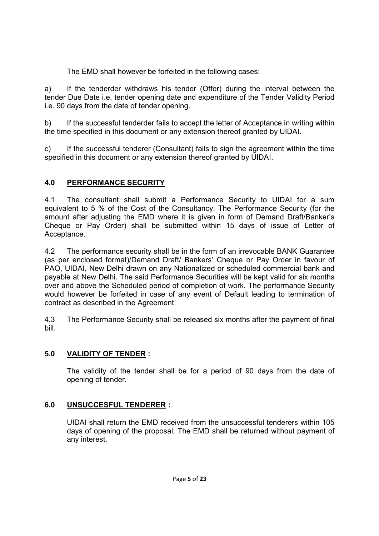The EMD shall however be forfeited in the following cases:

a) If the tenderder withdraws his tender (Offer) during the interval between the tender Due Date i.e. tender opening date and expenditure of the Tender Validity Period i.e. 90 days from the date of tender opening.

b) If the successful tenderder fails to accept the letter of Acceptance in writing within the time specified in this document or any extension thereof granted by UIDAI.

c) If the successful tenderer (Consultant) fails to sign the agreement within the time specified in this document or any extension thereof granted by UIDAI.

## **4.0 PERFORMANCE SECURITY**

4.1 The consultant shall submit a Performance Security to UIDAI for a sum equivalent to 5 % of the Cost of the Consultancy. The Performance Security (for the amount after adjusting the EMD where it is given in form of Demand Draft/Banker's Cheque or Pay Order) shall be submitted within 15 days of issue of Letter of Acceptance.

4.2 The performance security shall be in the form of an irrevocable BANK Guarantee (as per enclosed format)/Demand Draft/ Bankers' Cheque or Pay Order in favour of PAO, UIDAI, New Delhi drawn on any Nationalized or scheduled commercial bank and payable at New Delhi. The said Performance Securities will be kept valid for six months over and above the Scheduled period of completion of work. The performance Security would however be forfeited in case of any event of Default leading to termination of contract as described in the Agreement.

4.3 The Performance Security shall be released six months after the payment of final bill.

## **5.0 VALIDITY OF TENDER :**

The validity of the tender shall be for a period of 90 days from the date of opening of tender.

## **6.0 UNSUCCESFUL TENDERER :**

UIDAI shall return the EMD received from the unsuccessful tenderers within 105 days of opening of the proposal. The EMD shall be returned without payment of any interest.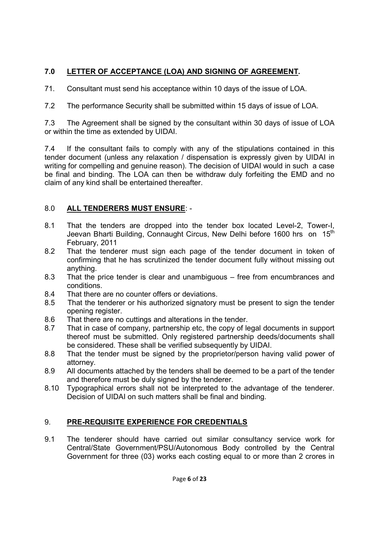# **7.0 LETTER OF ACCEPTANCE (LOA) AND SIGNING OF AGREEMENT.**

71. Consultant must send his acceptance within 10 days of the issue of LOA.

7.2 The performance Security shall be submitted within 15 days of issue of LOA.

7.3 The Agreement shall be signed by the consultant within 30 days of issue of LOA or within the time as extended by UIDAI.

7.4 If the consultant fails to comply with any of the stipulations contained in this tender document (unless any relaxation / dispensation is expressly given by UIDAI in writing for compelling and genuine reason). The decision of UIDAI would in such a case be final and binding. The LOA can then be withdraw duly forfeiting the EMD and no claim of any kind shall be entertained thereafter.

# 8.0 **ALL TENDERERS MUST ENSURE**: -

- 8.1 That the tenders are dropped into the tender box located Level-2, Tower-I, Jeevan Bharti Building, Connaught Circus, New Delhi before 1600 hrs on 15<sup>th</sup> February, 2011
- 8.2 That the tenderer must sign each page of the tender document in token of confirming that he has scrutinized the tender document fully without missing out anything.
- 8.3 That the price tender is clear and unambiguous free from encumbrances and conditions.
- 8.4 That there are no counter offers or deviations.
- 8.5 That the tenderer or his authorized signatory must be present to sign the tender opening register.
- 8.6 That there are no cuttings and alterations in the tender.
- 8.7 That in case of company, partnership etc, the copy of legal documents in support thereof must be submitted. Only registered partnership deeds/documents shall be considered. These shall be verified subsequently by UIDAI.
- 8.8 That the tender must be signed by the proprietor/person having valid power of attorney.
- 8.9 All documents attached by the tenders shall be deemed to be a part of the tender and therefore must be duly signed by the tenderer.
- 8.10 Typographical errors shall not be interpreted to the advantage of the tenderer. Decision of UIDAI on such matters shall be final and binding.

# 9. **PRE-REQUISITE EXPERIENCE FOR CREDENTIALS**

9.1 The tenderer should have carried out similar consultancy service work for Central/State Government/PSU/Autonomous Body controlled by the Central Government for three (03) works each costing equal to or more than 2 crores in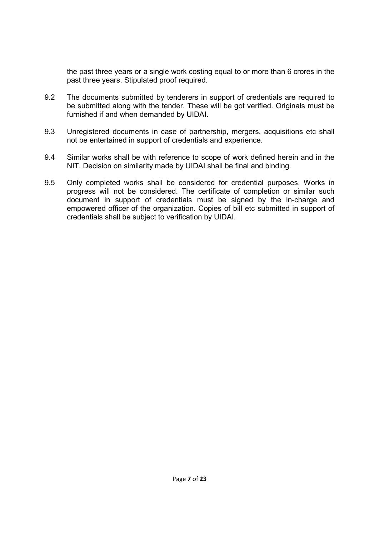the past three years or a single work costing equal to or more than 6 crores in the past three years. Stipulated proof required.

- 9.2 The documents submitted by tenderers in support of credentials are required to be submitted along with the tender. These will be got verified. Originals must be furnished if and when demanded by UIDAI.
- 9.3 Unregistered documents in case of partnership, mergers, acquisitions etc shall not be entertained in support of credentials and experience.
- 9.4 Similar works shall be with reference to scope of work defined herein and in the NIT. Decision on similarity made by UIDAI shall be final and binding.
- 9.5 Only completed works shall be considered for credential purposes. Works in progress will not be considered. The certificate of completion or similar such document in support of credentials must be signed by the in-charge and empowered officer of the organization. Copies of bill etc submitted in support of credentials shall be subject to verification by UIDAI.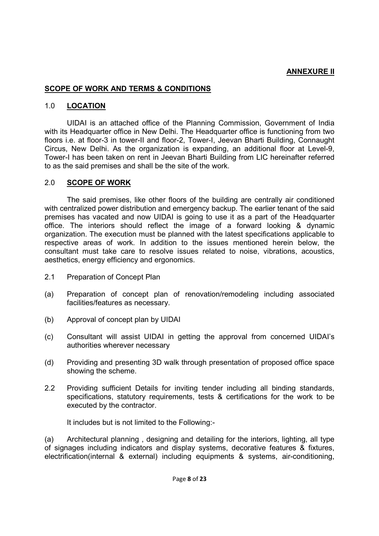### **ANNEXURE II**

#### **SCOPE OF WORK AND TERMS & CONDITIONS**

#### 1.0 **LOCATION**

UIDAI is an attached office of the Planning Commission, Government of India with its Headquarter office in New Delhi. The Headquarter office is functioning from two floors i.e. at floor-3 in tower-II and floor-2, Tower-I, Jeevan Bharti Building, Connaught Circus, New Delhi. As the organization is expanding, an additional floor at Level-9, Tower-I has been taken on rent in Jeevan Bharti Building from LIC hereinafter referred to as the said premises and shall be the site of the work.

#### 2.0 **SCOPE OF WORK**

The said premises, like other floors of the building are centrally air conditioned with centralized power distribution and emergency backup. The earlier tenant of the said premises has vacated and now UIDAI is going to use it as a part of the Headquarter office. The interiors should reflect the image of a forward looking & dynamic organization. The execution must be planned with the latest specifications applicable to respective areas of work. In addition to the issues mentioned herein below, the consultant must take care to resolve issues related to noise, vibrations, acoustics, aesthetics, energy efficiency and ergonomics.

- 2.1 Preparation of Concept Plan
- (a) Preparation of concept plan of renovation/remodeling including associated facilities/features as necessary.
- (b) Approval of concept plan by UIDAI
- (c) Consultant will assist UIDAI in getting the approval from concerned UIDAI's authorities wherever necessary
- (d) Providing and presenting 3D walk through presentation of proposed office space showing the scheme.
- 2.2 Providing sufficient Details for inviting tender including all binding standards, specifications, statutory requirements, tests & certifications for the work to be executed by the contractor.

It includes but is not limited to the Following:-

(a) Architectural planning , designing and detailing for the interiors, lighting, all type of signages including indicators and display systems, decorative features & fixtures, electrification(internal & external) including equipments & systems, air-conditioning,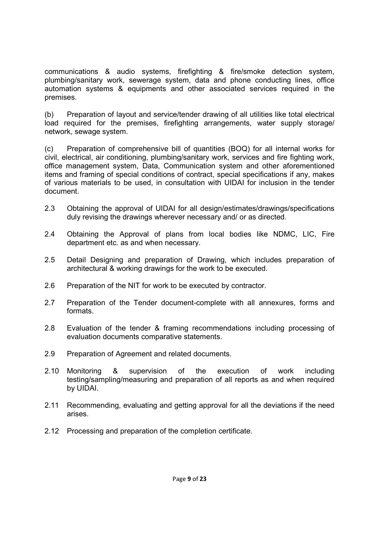communications & audio systems, firefighting & fire/smoke detection system, plumbing/sanitary work, sewerage system, data and phone conducting lines, office automation systems & equipments and other associated services required in the premises.

(b) Preparation of layout and service/tender drawing of all utilities like total electrical load required for the premises, firefighting arrangements, water supply storage/ network, sewage system.

(c) Preparation of comprehensive bill of quantities (BOQ) for all internal works for civil, electrical, air conditioning, plumbing/sanitary work, services and fire fighting work, office management system, Data, Communication system and other aforementioned items and framing of special conditions of contract, special specifications if any, makes of various materials to be used, in consultation with UIDAI for inclusion in the tender document.

- 2.3 Obtaining the approval of UIDAI for all design/estimates/drawings/specifications duly revising the drawings wherever necessary and/ or as directed.
- 2.4 Obtaining the Approval of plans from local bodies like NDMC, LIC, Fire department etc. as and when necessary.
- 2.5 Detail Designing and preparation of Drawing, which includes preparation of architectural & working drawings for the work to be executed.
- 2.6 Preparation of the NIT for work to be executed by contractor.
- 2.7 Preparation of the Tender document-complete with all annexures, forms and formats.
- 2.8 Evaluation of the tender & framing recommendations including processing of evaluation documents comparative statements.
- 2.9 Preparation of Agreement and related documents.
- 2.10 Monitoring & supervision of the execution of work including testing/sampling/measuring and preparation of all reports as and when required by UIDAI.
- 2.11 Recommending, evaluating and getting approval for all the deviations if the need arises.
- 2.12 Processing and preparation of the completion certificate.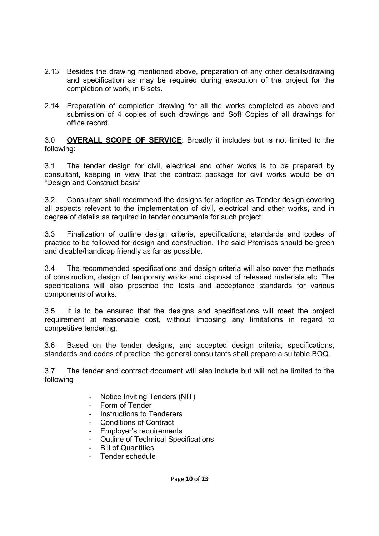- 2.13 Besides the drawing mentioned above, preparation of any other details/drawing and specification as may be required during execution of the project for the completion of work, in 6 sets.
- 2.14 Preparation of completion drawing for all the works completed as above and submission of 4 copies of such drawings and Soft Copies of all drawings for office record.

3.0 **OVERALL SCOPE OF SERVICE**: Broadly it includes but is not limited to the following:

3.1 The tender design for civil, electrical and other works is to be prepared by consultant, keeping in view that the contract package for civil works would be on "Design and Construct basis"

3.2 Consultant shall recommend the designs for adoption as Tender design covering all aspects relevant to the implementation of civil, electrical and other works, and in degree of details as required in tender documents for such project.

3.3 Finalization of outline design criteria, specifications, standards and codes of practice to be followed for design and construction. The said Premises should be green and disable/handicap friendly as far as possible.

3.4 The recommended specifications and design criteria will also cover the methods of construction, design of temporary works and disposal of released materials etc. The specifications will also prescribe the tests and acceptance standards for various components of works.

3.5 It is to be ensured that the designs and specifications will meet the project requirement at reasonable cost, without imposing any limitations in regard to competitive tendering.

3.6 Based on the tender designs, and accepted design criteria, specifications, standards and codes of practice, the general consultants shall prepare a suitable BOQ.

3.7 The tender and contract document will also include but will not be limited to the following

- Notice Inviting Tenders (NIT)
- Form of Tender
- Instructions to Tenderers
- Conditions of Contract
- Employer's requirements
- Outline of Technical Specifications
- Bill of Quantities
- Tender schedule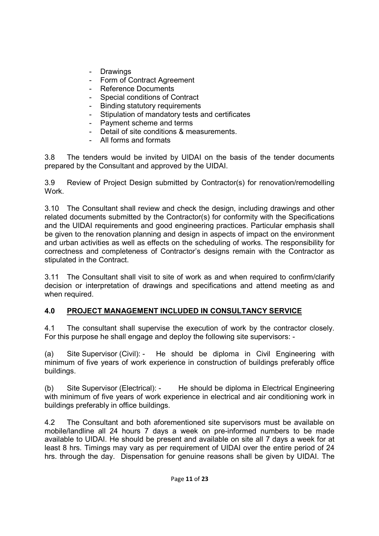- Drawings
- Form of Contract Agreement
- Reference Documents
- Special conditions of Contract
- Binding statutory requirements
- Stipulation of mandatory tests and certificates
- Payment scheme and terms
- Detail of site conditions & measurements.
- All forms and formats

3.8 The tenders would be invited by UIDAI on the basis of the tender documents prepared by the Consultant and approved by the UIDAI.

3.9 Review of Project Design submitted by Contractor(s) for renovation/remodelling Work.

3.10 The Consultant shall review and check the design, including drawings and other related documents submitted by the Contractor(s) for conformity with the Specifications and the UIDAI requirements and good engineering practices. Particular emphasis shall be given to the renovation planning and design in aspects of impact on the environment and urban activities as well as effects on the scheduling of works. The responsibility for correctness and completeness of Contractor's designs remain with the Contractor as stipulated in the Contract.

3.11 The Consultant shall visit to site of work as and when required to confirm/clarify decision or interpretation of drawings and specifications and attend meeting as and when required.

## **4.0 PROJECT MANAGEMENT INCLUDED IN CONSULTANCY SERVICE**

4.1 The consultant shall supervise the execution of work by the contractor closely. For this purpose he shall engage and deploy the following site supervisors: -

(a) Site Supervisor (Civil): - He should be diploma in Civil Engineering with minimum of five years of work experience in construction of buildings preferably office buildings.

(b) Site Supervisor (Electrical): - He should be diploma in Electrical Engineering with minimum of five years of work experience in electrical and air conditioning work in buildings preferably in office buildings.

4.2 The Consultant and both aforementioned site supervisors must be available on mobile/landline all 24 hours 7 days a week on pre-informed numbers to be made available to UIDAI. He should be present and available on site all 7 days a week for at least 8 hrs. Timings may vary as per requirement of UIDAI over the entire period of 24 hrs. through the day. Dispensation for genuine reasons shall be given by UIDAI. The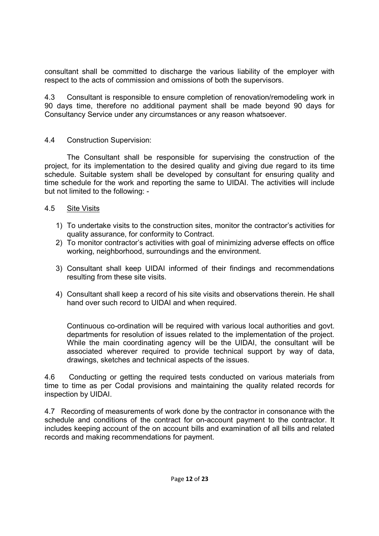consultant shall be committed to discharge the various liability of the employer with respect to the acts of commission and omissions of both the supervisors.

4.3 Consultant is responsible to ensure completion of renovation/remodeling work in 90 days time, therefore no additional payment shall be made beyond 90 days for Consultancy Service under any circumstances or any reason whatsoever.

### 4.4 Construction Supervision:

 The Consultant shall be responsible for supervising the construction of the project, for its implementation to the desired quality and giving due regard to its time schedule. Suitable system shall be developed by consultant for ensuring quality and time schedule for the work and reporting the same to UIDAI. The activities will include but not limited to the following: -

#### 4.5 Site Visits

- 1) To undertake visits to the construction sites, monitor the contractor's activities for quality assurance, for conformity to Contract.
- 2) To monitor contractor's activities with goal of minimizing adverse effects on office working, neighborhood, surroundings and the environment.
- 3) Consultant shall keep UIDAI informed of their findings and recommendations resulting from these site visits.
- 4) Consultant shall keep a record of his site visits and observations therein. He shall hand over such record to UIDAI and when required.

Continuous co-ordination will be required with various local authorities and govt. departments for resolution of issues related to the implementation of the project. While the main coordinating agency will be the UIDAI, the consultant will be associated wherever required to provide technical support by way of data, drawings, sketches and technical aspects of the issues.

4.6 Conducting or getting the required tests conducted on various materials from time to time as per Codal provisions and maintaining the quality related records for inspection by UIDAI.

4.7 Recording of measurements of work done by the contractor in consonance with the schedule and conditions of the contract for on-account payment to the contractor. It includes keeping account of the on account bills and examination of all bills and related records and making recommendations for payment.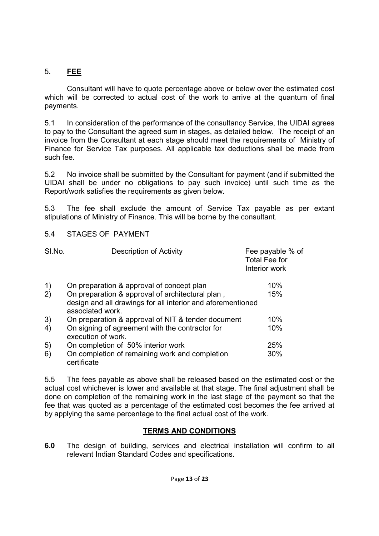# 5. **FEE**

 Consultant will have to quote percentage above or below over the estimated cost which will be corrected to actual cost of the work to arrive at the quantum of final payments.

5.1 In consideration of the performance of the consultancy Service, the UIDAI agrees to pay to the Consultant the agreed sum in stages, as detailed below. The receipt of an invoice from the Consultant at each stage should meet the requirements of Ministry of Finance for Service Tax purposes. All applicable tax deductions shall be made from such fee.

5.2 No invoice shall be submitted by the Consultant for payment (and if submitted the UIDAI shall be under no obligations to pay such invoice) until such time as the Report/work satisfies the requirements as given below.

5.3 The fee shall exclude the amount of Service Tax payable as per extant stipulations of Ministry of Finance. This will be borne by the consultant.

### 5.4 STAGES OF PAYMENT

| SI.No.                                         | <b>Description of Activity</b>                                                  | Fee payable % of<br><b>Total Fee for</b><br>Interior work |
|------------------------------------------------|---------------------------------------------------------------------------------|-----------------------------------------------------------|
| $\left( \begin{matrix} 1 \end{matrix} \right)$ | On preparation & approval of concept plan                                       | 10%                                                       |
| 2)                                             | On preparation & approval of architectural plan,                                | 15%                                                       |
|                                                | design and all drawings for all interior and aforementioned<br>associated work. |                                                           |
| 3)                                             | On preparation & approval of NIT & tender document                              | 10%                                                       |
| 4)                                             | On signing of agreement with the contractor for<br>execution of work.           | 10%                                                       |
| 5)                                             | On completion of 50% interior work                                              | 25%                                                       |
| 6)                                             | On completion of remaining work and completion<br>certificate                   | 30%                                                       |

5.5 The fees payable as above shall be released based on the estimated cost or the actual cost whichever is lower and available at that stage. The final adjustment shall be done on completion of the remaining work in the last stage of the payment so that the fee that was quoted as a percentage of the estimated cost becomes the fee arrived at by applying the same percentage to the final actual cost of the work.

### **TERMS AND CONDITIONS**

**6.0** The design of building, services and electrical installation will confirm to all relevant Indian Standard Codes and specifications.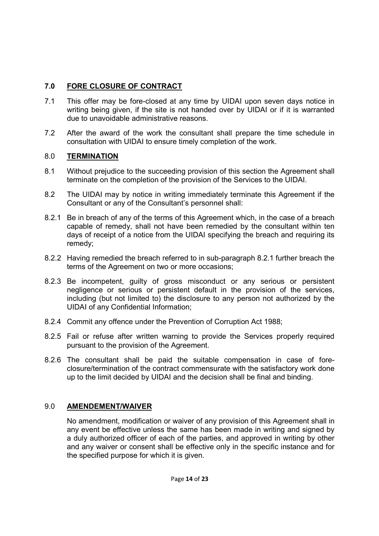## **7.0 FORE CLOSURE OF CONTRACT**

- 7.1 This offer may be fore-closed at any time by UIDAI upon seven days notice in writing being given, if the site is not handed over by UIDAI or if it is warranted due to unavoidable administrative reasons.
- 7.2 After the award of the work the consultant shall prepare the time schedule in consultation with UIDAI to ensure timely completion of the work.

## 8.0 **TERMINATION**

- 8.1 Without prejudice to the succeeding provision of this section the Agreement shall terminate on the completion of the provision of the Services to the UIDAI.
- 8.2 The UIDAI may by notice in writing immediately terminate this Agreement if the Consultant or any of the Consultant's personnel shall:
- 8.2.1 Be in breach of any of the terms of this Agreement which, in the case of a breach capable of remedy, shall not have been remedied by the consultant within ten days of receipt of a notice from the UIDAI specifying the breach and requiring its remedy;
- 8.2.2 Having remedied the breach referred to in sub-paragraph 8.2.1 further breach the terms of the Agreement on two or more occasions;
- 8.2.3 Be incompetent, guilty of gross misconduct or any serious or persistent negligence or serious or persistent default in the provision of the services, including (but not limited to) the disclosure to any person not authorized by the UIDAI of any Confidential Information;
- 8.2.4 Commit any offence under the Prevention of Corruption Act 1988;
- 8.2.5 Fail or refuse after written warning to provide the Services properly required pursuant to the provision of the Agreement.
- 8.2.6 The consultant shall be paid the suitable compensation in case of foreclosure/termination of the contract commensurate with the satisfactory work done up to the limit decided by UIDAI and the decision shall be final and binding.

## 9.0 **AMENDEMENT/WAIVER**

 No amendment, modification or waiver of any provision of this Agreement shall in any event be effective unless the same has been made in writing and signed by a duly authorized officer of each of the parties, and approved in writing by other and any waiver or consent shall be effective only in the specific instance and for the specified purpose for which it is given.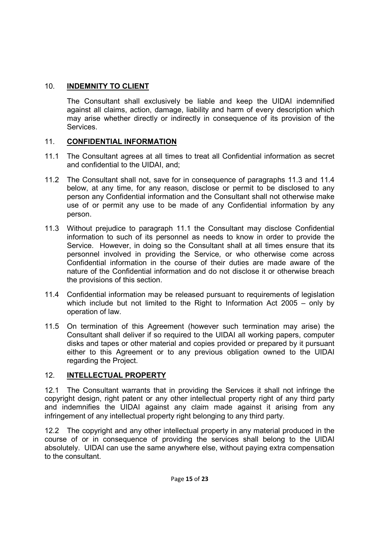## 10. **INDEMNITY TO CLIENT**

 The Consultant shall exclusively be liable and keep the UIDAI indemnified against all claims, action, damage, liability and harm of every description which may arise whether directly or indirectly in consequence of its provision of the Services.

## 11. **CONFIDENTIAL INFORMATION**

- 11.1 The Consultant agrees at all times to treat all Confidential information as secret and confidential to the UIDAI, and;
- 11.2 The Consultant shall not, save for in consequence of paragraphs 11.3 and 11.4 below, at any time, for any reason, disclose or permit to be disclosed to any person any Confidential information and the Consultant shall not otherwise make use of or permit any use to be made of any Confidential information by any person.
- 11.3 Without prejudice to paragraph 11.1 the Consultant may disclose Confidential information to such of its personnel as needs to know in order to provide the Service. However, in doing so the Consultant shall at all times ensure that its personnel involved in providing the Service, or who otherwise come across Confidential information in the course of their duties are made aware of the nature of the Confidential information and do not disclose it or otherwise breach the provisions of this section.
- 11.4 Confidential information may be released pursuant to requirements of legislation which include but not limited to the Right to Information Act 2005 – only by operation of law.
- 11.5 On termination of this Agreement (however such termination may arise) the Consultant shall deliver if so required to the UIDAI all working papers, computer disks and tapes or other material and copies provided or prepared by it pursuant either to this Agreement or to any previous obligation owned to the UIDAI regarding the Project.

# 12. **INTELLECTUAL PROPERTY**

12.1 The Consultant warrants that in providing the Services it shall not infringe the copyright design, right patent or any other intellectual property right of any third party and indemnifies the UIDAI against any claim made against it arising from any infringement of any intellectual property right belonging to any third party.

12.2 The copyright and any other intellectual property in any material produced in the course of or in consequence of providing the services shall belong to the UIDAI absolutely. UIDAI can use the same anywhere else, without paying extra compensation to the consultant.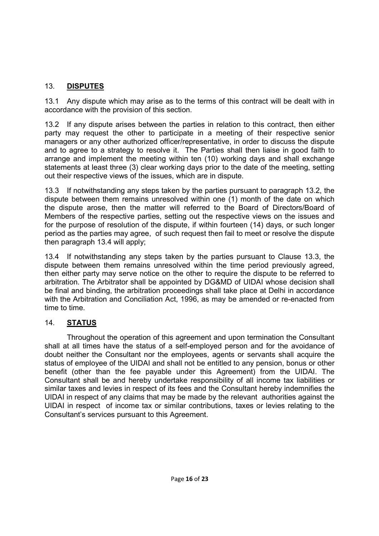## 13. **DISPUTES**

13.1 Any dispute which may arise as to the terms of this contract will be dealt with in accordance with the provision of this section.

13.2 If any dispute arises between the parties in relation to this contract, then either party may request the other to participate in a meeting of their respective senior managers or any other authorized officer/representative, in order to discuss the dispute and to agree to a strategy to resolve it. The Parties shall then liaise in good faith to arrange and implement the meeting within ten (10) working days and shall exchange statements at least three (3) clear working days prior to the date of the meeting, setting out their respective views of the issues, which are in dispute.

13.3 If notwithstanding any steps taken by the parties pursuant to paragraph 13.2, the dispute between them remains unresolved within one (1) month of the date on which the dispute arose, then the matter will referred to the Board of Directors/Board of Members of the respective parties, setting out the respective views on the issues and for the purpose of resolution of the dispute, if within fourteen (14) days, or such longer period as the parties may agree, of such request then fail to meet or resolve the dispute then paragraph 13.4 will apply;

13.4 If notwithstanding any steps taken by the parties pursuant to Clause 13.3, the dispute between them remains unresolved within the time period previously agreed, then either party may serve notice on the other to require the dispute to be referred to arbitration. The Arbitrator shall be appointed by DG&MD of UIDAI whose decision shall be final and binding, the arbitration proceedings shall take place at Delhi in accordance with the Arbitration and Conciliation Act, 1996, as may be amended or re-enacted from time to time.

# 14. **STATUS**

 Throughout the operation of this agreement and upon termination the Consultant shall at all times have the status of a self-employed person and for the avoidance of doubt neither the Consultant nor the employees, agents or servants shall acquire the status of employee of the UIDAI and shall not be entitled to any pension, bonus or other benefit (other than the fee payable under this Agreement) from the UIDAI. The Consultant shall be and hereby undertake responsibility of all income tax liabilities or similar taxes and levies in respect of its fees and the Consultant hereby indemnifies the UIDAI in respect of any claims that may be made by the relevant authorities against the UIDAI in respect of income tax or similar contributions, taxes or levies relating to the Consultant's services pursuant to this Agreement.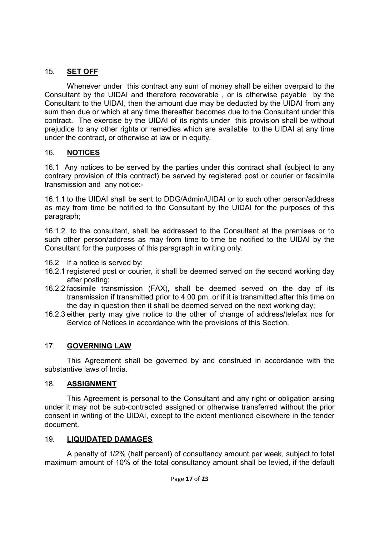## 15. **SET OFF**

 Whenever under this contract any sum of money shall be either overpaid to the Consultant by the UIDAI and therefore recoverable , or is otherwise payable by the Consultant to the UIDAI, then the amount due may be deducted by the UIDAI from any sum then due or which at any time thereafter becomes due to the Consultant under this contract. The exercise by the UIDAI of its rights under this provision shall be without prejudice to any other rights or remedies which are available to the UIDAI at any time under the contract, or otherwise at law or in equity.

## 16. **NOTICES**

16.1 Any notices to be served by the parties under this contract shall (subject to any contrary provision of this contract) be served by registered post or courier or facsimile transmission and any notice:-

16.1.1 to the UIDAI shall be sent to DDG/Admin/UIDAI or to such other person/address as may from time be notified to the Consultant by the UIDAI for the purposes of this paragraph;

16.1.2. to the consultant, shall be addressed to the Consultant at the premises or to such other person/address as may from time to time be notified to the UIDAI by the Consultant for the purposes of this paragraph in writing only.

- 16.2 If a notice is served by:
- 16.2.1 registered post or courier, it shall be deemed served on the second working day after posting;
- 16.2.2 facsimile transmission (FAX), shall be deemed served on the day of its transmission if transmitted prior to 4.00 pm, or if it is transmitted after this time on the day in question then it shall be deemed served on the next working day;
- 16.2.3 either party may give notice to the other of change of address/telefax nos for Service of Notices in accordance with the provisions of this Section.

## 17. **GOVERNING LAW**

 This Agreement shall be governed by and construed in accordance with the substantive laws of India.

## 18. **ASSIGNMENT**

 This Agreement is personal to the Consultant and any right or obligation arising under it may not be sub-contracted assigned or otherwise transferred without the prior consent in writing of the UIDAI, except to the extent mentioned elsewhere in the tender document.

## 19. **LIQUIDATED DAMAGES**

 A penalty of 1/2% (half percent) of consultancy amount per week, subject to total maximum amount of 10% of the total consultancy amount shall be levied, if the default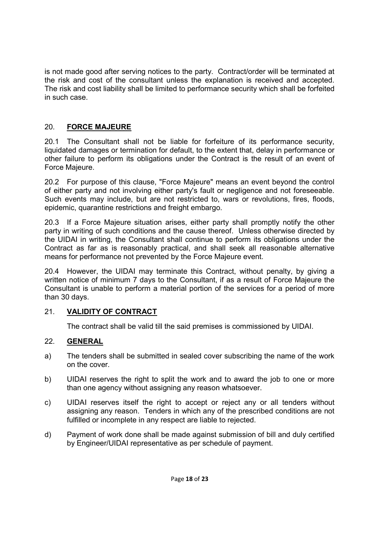is not made good after serving notices to the party. Contract/order will be terminated at the risk and cost of the consultant unless the explanation is received and accepted. The risk and cost liability shall be limited to performance security which shall be forfeited in such case.

## 20. **FORCE MAJEURE**

20.1 The Consultant shall not be liable for forfeiture of its performance security, liquidated damages or termination for default, to the extent that, delay in performance or other failure to perform its obligations under the Contract is the result of an event of Force Majeure.

20.2 For purpose of this clause, "Force Majeure" means an event beyond the control of either party and not involving either party's fault or negligence and not foreseeable. Such events may include, but are not restricted to, wars or revolutions, fires, floods, epidemic, quarantine restrictions and freight embargo.

20.3 If a Force Majeure situation arises, either party shall promptly notify the other party in writing of such conditions and the cause thereof. Unless otherwise directed by the UIDAI in writing, the Consultant shall continue to perform its obligations under the Contract as far as is reasonably practical, and shall seek all reasonable alternative means for performance not prevented by the Force Majeure event.

20.4 However, the UIDAI may terminate this Contract, without penalty, by giving a written notice of minimum 7 days to the Consultant, if as a result of Force Majeure the Consultant is unable to perform a material portion of the services for a period of more than 30 days.

## 21. **VALIDITY OF CONTRACT**

The contract shall be valid till the said premises is commissioned by UIDAI.

## 22. **GENERAL**

- a) The tenders shall be submitted in sealed cover subscribing the name of the work on the cover.
- b) UIDAI reserves the right to split the work and to award the job to one or more than one agency without assigning any reason whatsoever.
- c) UIDAI reserves itself the right to accept or reject any or all tenders without assigning any reason. Tenders in which any of the prescribed conditions are not fulfilled or incomplete in any respect are liable to rejected.
- d) Payment of work done shall be made against submission of bill and duly certified by Engineer/UIDAI representative as per schedule of payment.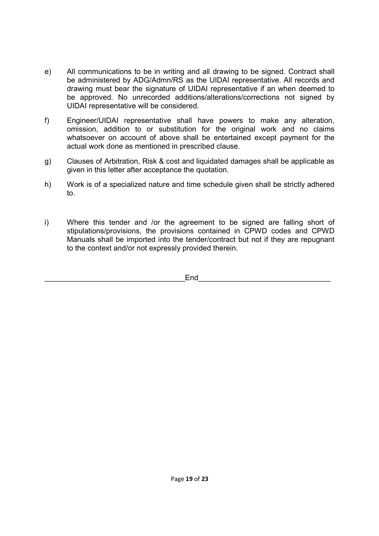- e) All communications to be in writing and all drawing to be signed. Contract shall be administered by ADG/Admn/RS as the UIDAI representative. All records and drawing must bear the signature of UIDAI representative if an when deemed to be approved. No unrecorded additions/alterations/corrections not signed by UIDAI representative will be considered.
- f) Engineer/UIDAI representative shall have powers to make any alteration, omission, addition to or substitution for the original work and no claims whatsoever on account of above shall be entertained except payment for the actual work done as mentioned in prescribed clause.
- g) Clauses of Arbitration, Risk & cost and liquidated damages shall be applicable as given in this letter after acceptance the quotation.
- h) Work is of a specialized nature and time schedule given shall be strictly adhered to.
- i) Where this tender and /or the agreement to be signed are falling short of stipulations/provisions, the provisions contained in CPWD codes and CPWD Manuals shall be imported into the tender/contract but not if they are repugnant to the context and/or not expressly provided therein.

 $\mathsf{End}$  and  $\mathsf{End}$  and  $\mathsf{End}$  and  $\mathsf{End}$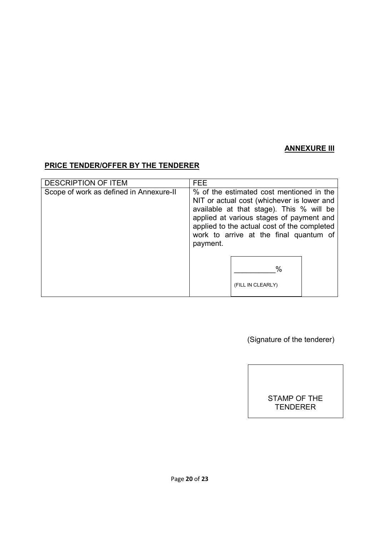### **ANNEXURE III**

# **PRICE TENDER/OFFER BY THE TENDERER**

| <b>DESCRIPTION OF ITEM</b>              | <b>FEE</b>                                                                                                                                                                                                                                                                          |  |
|-----------------------------------------|-------------------------------------------------------------------------------------------------------------------------------------------------------------------------------------------------------------------------------------------------------------------------------------|--|
| Scope of work as defined in Annexure-II | % of the estimated cost mentioned in the<br>NIT or actual cost (whichever is lower and<br>available at that stage). This % will be<br>applied at various stages of payment and<br>applied to the actual cost of the completed<br>work to arrive at the final quantum of<br>payment. |  |
|                                         | %<br>(FILL IN CLEARLY)                                                                                                                                                                                                                                                              |  |

(Signature of the tenderer)

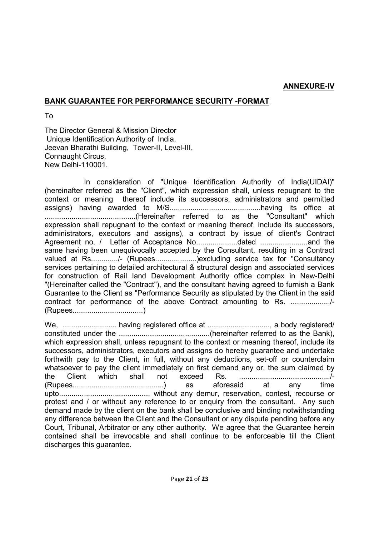#### **ANNEXURE-IV**

#### **BANK GUARANTEE FOR PERFORMANCE SECURITY -FORMAT**

To

The Director General & Mission Director Unique Identification Authority of India, Jeevan Bharathi Building, Tower-II, Level-III, Connaught Circus, New Delhi-110001.

 In consideration of "Unique Identification Authority of India(UIDAI)" (hereinafter referred as the "Client", which expression shall, unless repugnant to the context or meaning thereof include its successors, administrators and permitted assigns) having awarded to M/S............................................having its office at ............................................(Hereinafter referred to as the "Consultant" which expression shall repugnant to the context or meaning thereof, include its successors, administrators, executors and assigns), a contract by issue of client's Contract Agreement no. / Letter of Acceptance No....................dated .......................and the same having been unequivocally accepted by the Consultant, resulting in a Contract valued at Rs............../- (Rupees......................) excluding service tax for "Consultancy services pertaining to detailed architectural & structural design and associated services for construction of Rail land Development Authority office complex in New-Delhi "(Hereinafter called the "Contract"), and the consultant having agreed to furnish a Bank Guarantee to the Client as "Performance Security as stipulated by the Client in the said contract for performance of the above Contract amounting to Rs. .................../- (Rupees..................................)

We, .......................... having registered office at .............................., a body registered/ constituted under the ............................................(hereinafter referred to as the Bank), which expression shall, unless repugnant to the context or meaning thereof, include its successors, administrators, executors and assigns do hereby guarantee and undertake forthwith pay to the Client, in full, without any deductions, set-off or counterclaim whatsoever to pay the client immediately on first demand any or, the sum claimed by the Client which shall not exceed Rs. ............................................/- (Rupees............................................) as aforesaid at any time upto............................................ without any demur, reservation, contest, recourse or protest and / or without any reference to or enquiry from the consultant. Any such demand made by the client on the bank shall be conclusive and binding notwithstanding any difference between the Client and the Consultant or any dispute pending before any Court, Tribunal, Arbitrator or any other authority. We agree that the Guarantee herein contained shall be irrevocable and shall continue to be enforceable till the Client discharges this guarantee.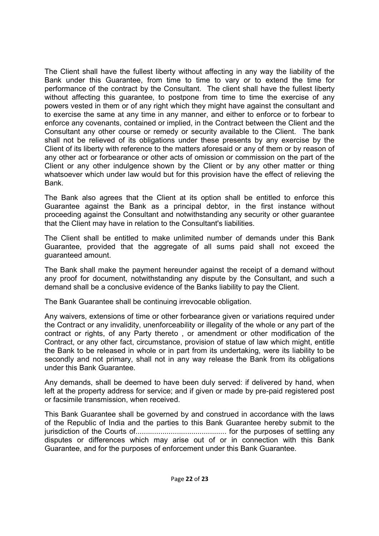The Client shall have the fullest liberty without affecting in any way the liability of the Bank under this Guarantee, from time to time to vary or to extend the time for performance of the contract by the Consultant. The client shall have the fullest liberty without affecting this guarantee, to postpone from time to time the exercise of any powers vested in them or of any right which they might have against the consultant and to exercise the same at any time in any manner, and either to enforce or to forbear to enforce any covenants, contained or implied, in the Contract between the Client and the Consultant any other course or remedy or security available to the Client. The bank shall not be relieved of its obligations under these presents by any exercise by the Client of its liberty with reference to the matters aforesaid or any of them or by reason of any other act or forbearance or other acts of omission or commission on the part of the Client or any other indulgence shown by the Client or by any other matter or thing whatsoever which under law would but for this provision have the effect of relieving the Bank.

The Bank also agrees that the Client at its option shall be entitled to enforce this Guarantee against the Bank as a principal debtor, in the first instance without proceeding against the Consultant and notwithstanding any security or other guarantee that the Client may have in relation to the Consultant's liabilities.

The Client shall be entitled to make unlimited number of demands under this Bank Guarantee, provided that the aggregate of all sums paid shall not exceed the guaranteed amount.

The Bank shall make the payment hereunder against the receipt of a demand without any proof for document, notwithstanding any dispute by the Consultant, and such a demand shall be a conclusive evidence of the Banks liability to pay the Client.

The Bank Guarantee shall be continuing irrevocable obligation.

Any waivers, extensions of time or other forbearance given or variations required under the Contract or any invalidity, unenforceability or illegality of the whole or any part of the contract or rights, of any Party thereto , or amendment or other modification of the Contract, or any other fact, circumstance, provision of statue of law which might, entitle the Bank to be released in whole or in part from its undertaking, were its liability to be secondly and not primary, shall not in any way release the Bank from its obligations under this Bank Guarantee.

Any demands, shall be deemed to have been duly served: if delivered by hand, when left at the property address for service; and if given or made by pre-paid registered post or facsimile transmission, when received.

This Bank Guarantee shall be governed by and construed in accordance with the laws of the Republic of India and the parties to this Bank Guarantee hereby submit to the jurisdiction of the Courts of............................................ for the purposes of settling any disputes or differences which may arise out of or in connection with this Bank Guarantee, and for the purposes of enforcement under this Bank Guarantee.